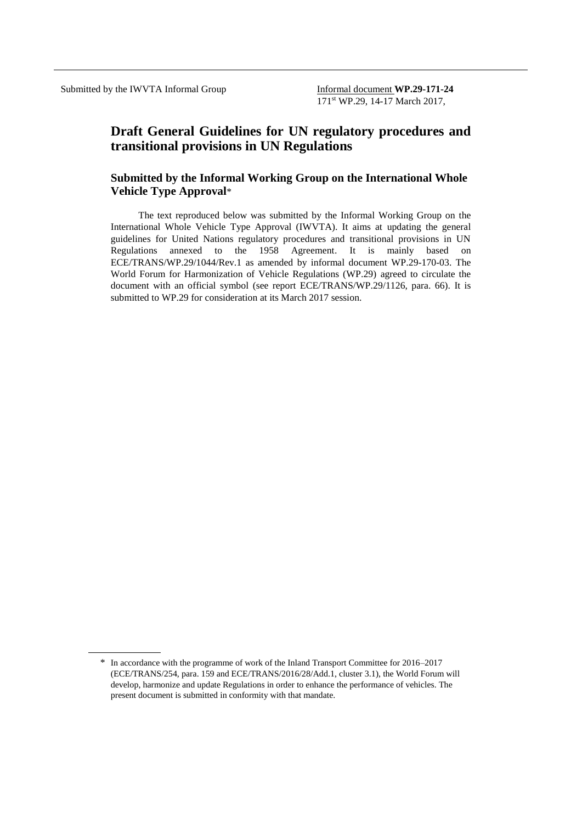# **Draft General Guidelines for UN regulatory procedures and transitional provisions in UN Regulations**

### **Submitted by the Informal Working Group on the International Whole Vehicle Type Approval**\*

The text reproduced below was submitted by the Informal Working Group on the International Whole Vehicle Type Approval (IWVTA). It aims at updating the general guidelines for United Nations regulatory procedures and transitional provisions in UN Regulations annexed to the 1958 Agreement. It is mainly based on ECE/TRANS/WP.29/1044/Rev.1 as amended by informal document WP.29-170-03. The World Forum for Harmonization of Vehicle Regulations (WP.29) agreed to circulate the document with an official symbol (see report ECE/TRANS/WP.29/1126, para. 66). It is submitted to WP.29 for consideration at its March 2017 session.

<sup>\*</sup> In accordance with the programme of work of the Inland Transport Committee for 2016–2017 (ECE/TRANS/254, para. 159 and ECE/TRANS/2016/28/Add.1, cluster 3.1), the World Forum will develop, harmonize and update Regulations in order to enhance the performance of vehicles. The present document is submitted in conformity with that mandate.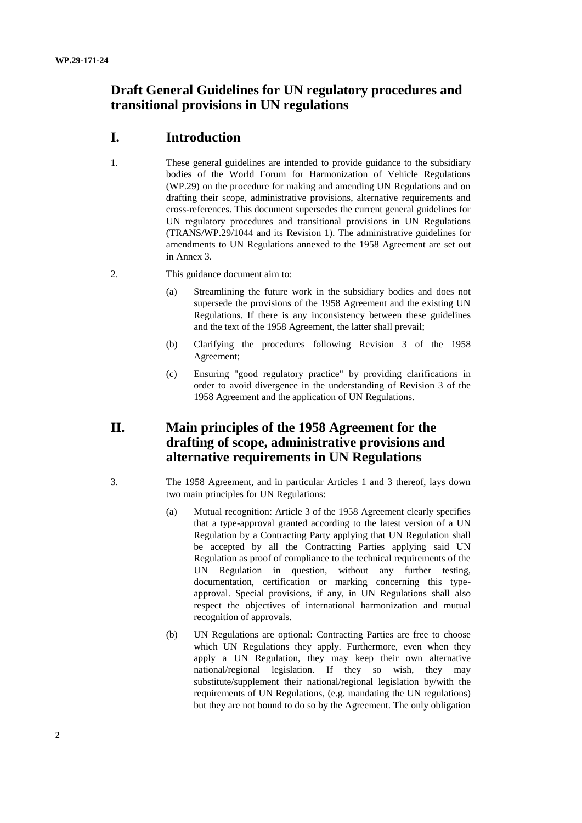# **Draft General Guidelines for UN regulatory procedures and transitional provisions in UN regulations**

# **I. Introduction**

- 1. These general guidelines are intended to provide guidance to the subsidiary bodies of the World Forum for Harmonization of Vehicle Regulations (WP.29) on the procedure for making and amending UN Regulations and on drafting their scope, administrative provisions, alternative requirements and cross-references. This document supersedes the current general guidelines for UN regulatory procedures and transitional provisions in UN Regulations (TRANS/WP.29/1044 and its Revision 1). The administrative guidelines for amendments to UN Regulations annexed to the 1958 Agreement are set out in Annex 3.
- 2. This guidance document aim to:
	- (a) Streamlining the future work in the subsidiary bodies and does not supersede the provisions of the 1958 Agreement and the existing UN Regulations. If there is any inconsistency between these guidelines and the text of the 1958 Agreement, the latter shall prevail;
	- (b) Clarifying the procedures following Revision 3 of the 1958 Agreement;
	- (c) Ensuring "good regulatory practice" by providing clarifications in order to avoid divergence in the understanding of Revision 3 of the 1958 Agreement and the application of UN Regulations.

# **II. Main principles of the 1958 Agreement for the drafting of scope, administrative provisions and alternative requirements in UN Regulations**

- 3. The 1958 Agreement, and in particular Articles 1 and 3 thereof, lays down two main principles for UN Regulations:
	- (a) Mutual recognition: Article 3 of the 1958 Agreement clearly specifies that a type-approval granted according to the latest version of a UN Regulation by a Contracting Party applying that UN Regulation shall be accepted by all the Contracting Parties applying said UN Regulation as proof of compliance to the technical requirements of the UN Regulation in question, without any further testing, documentation, certification or marking concerning this typeapproval. Special provisions, if any, in UN Regulations shall also respect the objectives of international harmonization and mutual recognition of approvals.
	- (b) UN Regulations are optional: Contracting Parties are free to choose which UN Regulations they apply. Furthermore, even when they apply a UN Regulation, they may keep their own alternative national/regional legislation. If they so wish, they may substitute/supplement their national/regional legislation by/with the requirements of UN Regulations, (e.g. mandating the UN regulations) but they are not bound to do so by the Agreement. The only obligation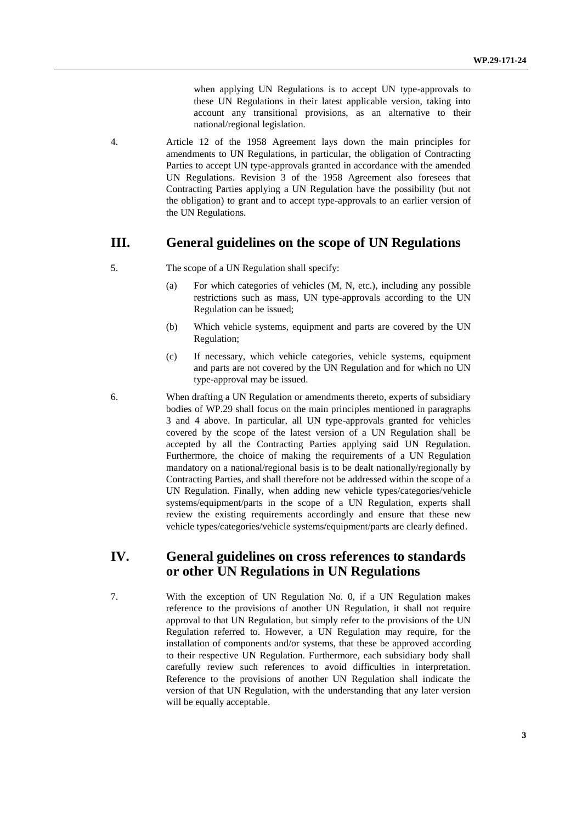when applying UN Regulations is to accept UN type-approvals to these UN Regulations in their latest applicable version, taking into account any transitional provisions, as an alternative to their national/regional legislation.

4. Article 12 of the 1958 Agreement lays down the main principles for amendments to UN Regulations, in particular, the obligation of Contracting Parties to accept UN type-approvals granted in accordance with the amended UN Regulations. Revision 3 of the 1958 Agreement also foresees that Contracting Parties applying a UN Regulation have the possibility (but not the obligation) to grant and to accept type-approvals to an earlier version of the UN Regulations.

### **III. General guidelines on the scope of UN Regulations**

- 5. The scope of a UN Regulation shall specify:
	- (a) For which categories of vehicles (M, N, etc.), including any possible restrictions such as mass, UN type-approvals according to the UN Regulation can be issued;
	- (b) Which vehicle systems, equipment and parts are covered by the UN Regulation;
	- (c) If necessary, which vehicle categories, vehicle systems, equipment and parts are not covered by the UN Regulation and for which no UN type-approval may be issued.
- 6. When drafting a UN Regulation or amendments thereto, experts of subsidiary bodies of WP.29 shall focus on the main principles mentioned in paragraphs 3 and 4 above. In particular, all UN type-approvals granted for vehicles covered by the scope of the latest version of a UN Regulation shall be accepted by all the Contracting Parties applying said UN Regulation. Furthermore, the choice of making the requirements of a UN Regulation mandatory on a national/regional basis is to be dealt nationally/regionally by Contracting Parties, and shall therefore not be addressed within the scope of a UN Regulation. Finally, when adding new vehicle types/categories/vehicle systems/equipment/parts in the scope of a UN Regulation, experts shall review the existing requirements accordingly and ensure that these new vehicle types/categories/vehicle systems/equipment/parts are clearly defined.

# **IV. General guidelines on cross references to standards or other UN Regulations in UN Regulations**

7. With the exception of UN Regulation No. 0, if a UN Regulation makes reference to the provisions of another UN Regulation, it shall not require approval to that UN Regulation, but simply refer to the provisions of the UN Regulation referred to. However, a UN Regulation may require, for the installation of components and/or systems, that these be approved according to their respective UN Regulation. Furthermore, each subsidiary body shall carefully review such references to avoid difficulties in interpretation. Reference to the provisions of another UN Regulation shall indicate the version of that UN Regulation, with the understanding that any later version will be equally acceptable.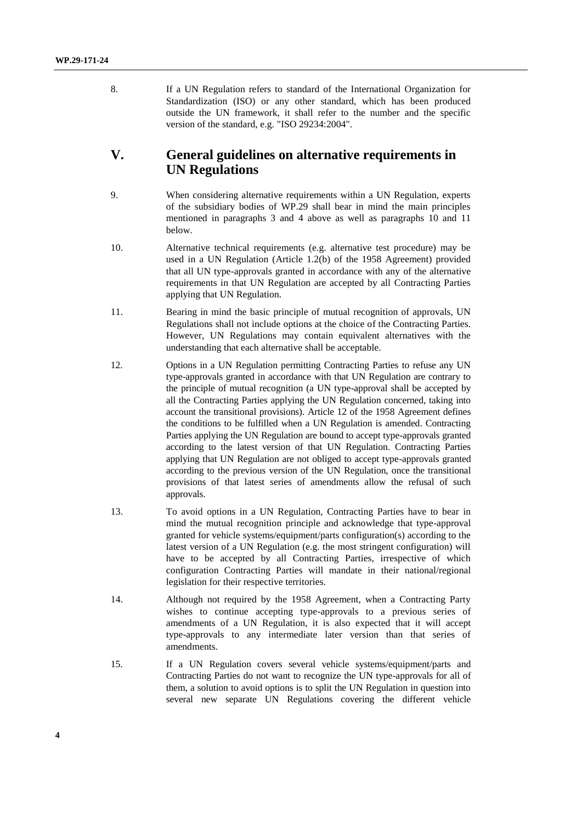8. If a UN Regulation refers to standard of the International Organization for Standardization (ISO) or any other standard, which has been produced outside the UN framework, it shall refer to the number and the specific version of the standard, e.g. "ISO 29234:2004".

### **V. General guidelines on alternative requirements in UN Regulations**

- 9. When considering alternative requirements within a UN Regulation, experts of the subsidiary bodies of WP.29 shall bear in mind the main principles mentioned in paragraphs 3 and 4 above as well as paragraphs 10 and 11 below.
- 10. Alternative technical requirements (e.g. alternative test procedure) may be used in a UN Regulation (Article 1.2(b) of the 1958 Agreement) provided that all UN type-approvals granted in accordance with any of the alternative requirements in that UN Regulation are accepted by all Contracting Parties applying that UN Regulation.
- 11. Bearing in mind the basic principle of mutual recognition of approvals, UN Regulations shall not include options at the choice of the Contracting Parties. However, UN Regulations may contain equivalent alternatives with the understanding that each alternative shall be acceptable.
- 12. Options in a UN Regulation permitting Contracting Parties to refuse any UN type-approvals granted in accordance with that UN Regulation are contrary to the principle of mutual recognition (a UN type-approval shall be accepted by all the Contracting Parties applying the UN Regulation concerned, taking into account the transitional provisions). Article 12 of the 1958 Agreement defines the conditions to be fulfilled when a UN Regulation is amended. Contracting Parties applying the UN Regulation are bound to accept type-approvals granted according to the latest version of that UN Regulation. Contracting Parties applying that UN Regulation are not obliged to accept type-approvals granted according to the previous version of the UN Regulation, once the transitional provisions of that latest series of amendments allow the refusal of such approvals.
- 13. To avoid options in a UN Regulation, Contracting Parties have to bear in mind the mutual recognition principle and acknowledge that type-approval granted for vehicle systems/equipment/parts configuration(s) according to the latest version of a UN Regulation (e.g. the most stringent configuration) will have to be accepted by all Contracting Parties, irrespective of which configuration Contracting Parties will mandate in their national/regional legislation for their respective territories.
- 14. Although not required by the 1958 Agreement, when a Contracting Party wishes to continue accepting type-approvals to a previous series of amendments of a UN Regulation, it is also expected that it will accept type-approvals to any intermediate later version than that series of amendments.
- 15. If a UN Regulation covers several vehicle systems/equipment/parts and Contracting Parties do not want to recognize the UN type-approvals for all of them, a solution to avoid options is to split the UN Regulation in question into several new separate UN Regulations covering the different vehicle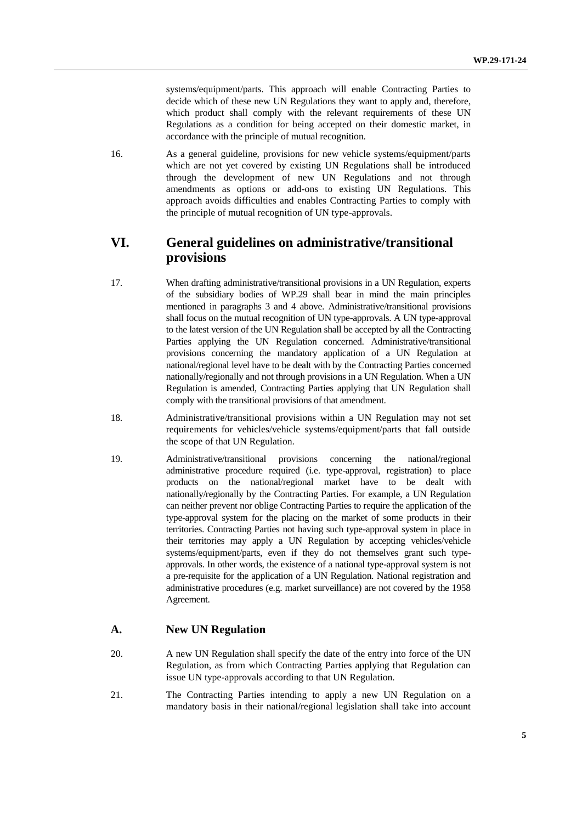systems/equipment/parts. This approach will enable Contracting Parties to decide which of these new UN Regulations they want to apply and, therefore, which product shall comply with the relevant requirements of these UN Regulations as a condition for being accepted on their domestic market, in accordance with the principle of mutual recognition.

16. As a general guideline, provisions for new vehicle systems/equipment/parts which are not yet covered by existing UN Regulations shall be introduced through the development of new UN Regulations and not through amendments as options or add-ons to existing UN Regulations. This approach avoids difficulties and enables Contracting Parties to comply with the principle of mutual recognition of UN type-approvals.

# **VI. General guidelines on administrative/transitional provisions**

- 17. When drafting administrative/transitional provisions in a UN Regulation, experts of the subsidiary bodies of WP.29 shall bear in mind the main principles mentioned in paragraphs 3 and 4 above. Administrative/transitional provisions shall focus on the mutual recognition of UN type-approvals. A UN type-approval to the latest version of the UN Regulation shall be accepted by all the Contracting Parties applying the UN Regulation concerned. Administrative/transitional provisions concerning the mandatory application of a UN Regulation at national/regional level have to be dealt with by the Contracting Parties concerned nationally/regionally and not through provisions in a UN Regulation. When a UN Regulation is amended, Contracting Parties applying that UN Regulation shall comply with the transitional provisions of that amendment.
- 18. Administrative/transitional provisions within a UN Regulation may not set requirements for vehicles/vehicle systems/equipment/parts that fall outside the scope of that UN Regulation.
- 19. Administrative/transitional provisions concerning the national/regional administrative procedure required (i.e. type-approval, registration) to place products on the national/regional market have to be dealt with nationally/regionally by the Contracting Parties. For example, a UN Regulation can neither prevent nor oblige Contracting Parties to require the application of the type-approval system for the placing on the market of some products in their territories. Contracting Parties not having such type-approval system in place in their territories may apply a UN Regulation by accepting vehicles/vehicle systems/equipment/parts, even if they do not themselves grant such typeapprovals. In other words, the existence of a national type-approval system is not a pre-requisite for the application of a UN Regulation. National registration and administrative procedures (e.g. market surveillance) are not covered by the 1958 Agreement.

### **A. New UN Regulation**

- 20. A new UN Regulation shall specify the date of the entry into force of the UN Regulation, as from which Contracting Parties applying that Regulation can issue UN type-approvals according to that UN Regulation.
- 21. The Contracting Parties intending to apply a new UN Regulation on a mandatory basis in their national/regional legislation shall take into account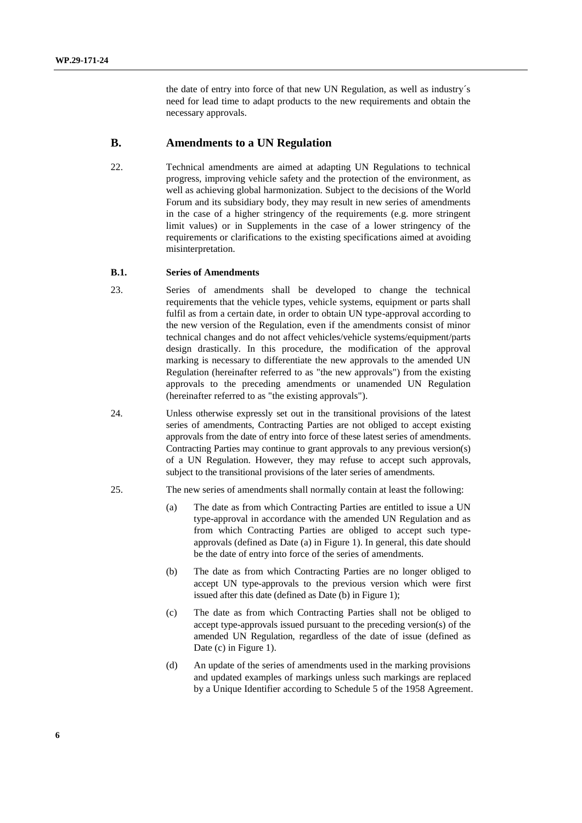the date of entry into force of that new UN Regulation, as well as industry´s need for lead time to adapt products to the new requirements and obtain the necessary approvals.

#### **B. Amendments to a UN Regulation**

22. Technical amendments are aimed at adapting UN Regulations to technical progress, improving vehicle safety and the protection of the environment, as well as achieving global harmonization. Subject to the decisions of the World Forum and its subsidiary body, they may result in new series of amendments in the case of a higher stringency of the requirements (e.g. more stringent limit values) or in Supplements in the case of a lower stringency of the requirements or clarifications to the existing specifications aimed at avoiding misinterpretation.

#### **B.1. Series of Amendments**

- 23. Series of amendments shall be developed to change the technical requirements that the vehicle types, vehicle systems, equipment or parts shall fulfil as from a certain date, in order to obtain UN type-approval according to the new version of the Regulation, even if the amendments consist of minor technical changes and do not affect vehicles/vehicle systems/equipment/parts design drastically. In this procedure, the modification of the approval marking is necessary to differentiate the new approvals to the amended UN Regulation (hereinafter referred to as "the new approvals") from the existing approvals to the preceding amendments or unamended UN Regulation (hereinafter referred to as "the existing approvals").
- 24. Unless otherwise expressly set out in the transitional provisions of the latest series of amendments, Contracting Parties are not obliged to accept existing approvals from the date of entry into force of these latest series of amendments. Contracting Parties may continue to grant approvals to any previous version(s) of a UN Regulation. However, they may refuse to accept such approvals, subject to the transitional provisions of the later series of amendments.
- 25. The new series of amendments shall normally contain at least the following:
	- (a) The date as from which Contracting Parties are entitled to issue a UN type-approval in accordance with the amended UN Regulation and as from which Contracting Parties are obliged to accept such typeapprovals (defined as Date (a) in Figure 1). In general, this date should be the date of entry into force of the series of amendments.
	- (b) The date as from which Contracting Parties are no longer obliged to accept UN type-approvals to the previous version which were first issued after this date (defined as Date (b) in Figure 1);
	- (c) The date as from which Contracting Parties shall not be obliged to accept type-approvals issued pursuant to the preceding version(s) of the amended UN Regulation, regardless of the date of issue (defined as Date (c) in Figure 1).
	- (d) An update of the series of amendments used in the marking provisions and updated examples of markings unless such markings are replaced by a Unique Identifier according to Schedule 5 of the 1958 Agreement.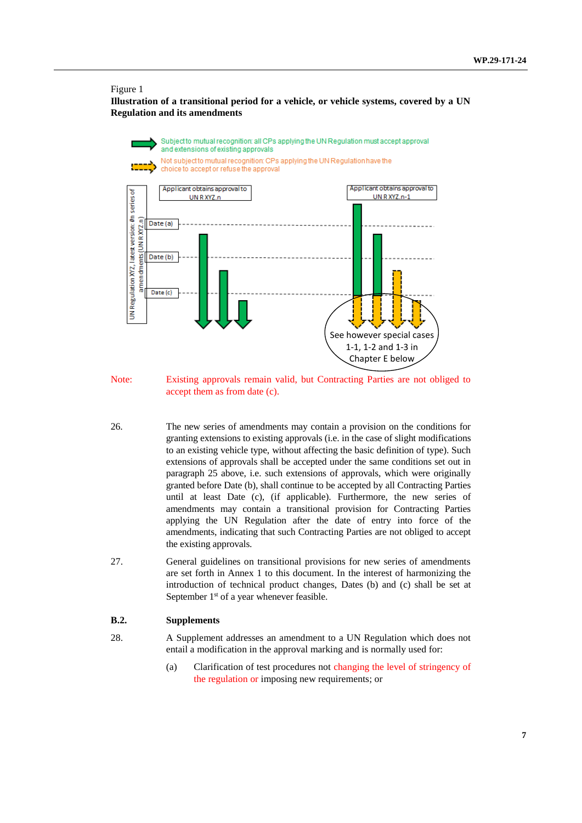#### Figure 1

**Illustration of a transitional period for a vehicle, or vehicle systems, covered by a UN Regulation and its amendments**



Note: Existing approvals remain valid, but Contracting Parties are not obliged to accept them as from date (c).

- 26. The new series of amendments may contain a provision on the conditions for granting extensions to existing approvals (i.e. in the case of slight modifications to an existing vehicle type, without affecting the basic definition of type). Such extensions of approvals shall be accepted under the same conditions set out in paragraph 25 above, i.e. such extensions of approvals, which were originally granted before Date (b), shall continue to be accepted by all Contracting Parties until at least Date (c), (if applicable). Furthermore, the new series of amendments may contain a transitional provision for Contracting Parties applying the UN Regulation after the date of entry into force of the amendments, indicating that such Contracting Parties are not obliged to accept the existing approvals.
- 27. General guidelines on transitional provisions for new series of amendments are set forth in Annex 1 to this document. In the interest of harmonizing the introduction of technical product changes, Dates (b) and (c) shall be set at September 1<sup>st</sup> of a year whenever feasible.

#### **B.2. Supplements**

- 28. A Supplement addresses an amendment to a UN Regulation which does not entail a modification in the approval marking and is normally used for:
	- (a) Clarification of test procedures not changing the level of stringency of the regulation or imposing new requirements; or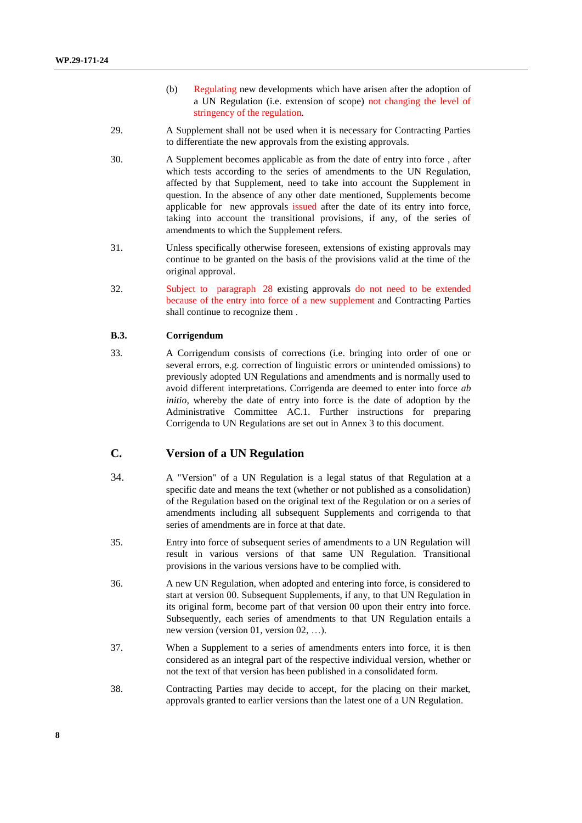- (b) Regulating new developments which have arisen after the adoption of a UN Regulation (i.e. extension of scope) not changing the level of stringency of the regulation.
- 29. A Supplement shall not be used when it is necessary for Contracting Parties to differentiate the new approvals from the existing approvals.
- 30. A Supplement becomes applicable as from the date of entry into force , after which tests according to the series of amendments to the UN Regulation, affected by that Supplement, need to take into account the Supplement in question. In the absence of any other date mentioned, Supplements become applicable for new approvals issued after the date of its entry into force, taking into account the transitional provisions, if any, of the series of amendments to which the Supplement refers.
- 31. Unless specifically otherwise foreseen, extensions of existing approvals may continue to be granted on the basis of the provisions valid at the time of the original approval.
- 32. Subject to paragraph 28 existing approvals do not need to be extended because of the entry into force of a new supplement and Contracting Parties shall continue to recognize them .

#### **B.3. Corrigendum**

33. A Corrigendum consists of corrections (i.e. bringing into order of one or several errors, e.g. correction of linguistic errors or unintended omissions) to previously adopted UN Regulations and amendments and is normally used to avoid different interpretations. Corrigenda are deemed to enter into force *ab initio*, whereby the date of entry into force is the date of adoption by the Administrative Committee AC.1. Further instructions for preparing Corrigenda to UN Regulations are set out in Annex 3 to this document.

### **C. Version of a UN Regulation**

- 34. A "Version" of a UN Regulation is a legal status of that Regulation at a specific date and means the text (whether or not published as a consolidation) of the Regulation based on the original text of the Regulation or on a series of amendments including all subsequent Supplements and corrigenda to that series of amendments are in force at that date.
- 35. Entry into force of subsequent series of amendments to a UN Regulation will result in various versions of that same UN Regulation. Transitional provisions in the various versions have to be complied with.
- 36. A new UN Regulation, when adopted and entering into force, is considered to start at version 00. Subsequent Supplements, if any, to that UN Regulation in its original form, become part of that version 00 upon their entry into force. Subsequently, each series of amendments to that UN Regulation entails a new version (version 01, version 02, …).
- 37. When a Supplement to a series of amendments enters into force, it is then considered as an integral part of the respective individual version, whether or not the text of that version has been published in a consolidated form.
- 38. Contracting Parties may decide to accept, for the placing on their market, approvals granted to earlier versions than the latest one of a UN Regulation.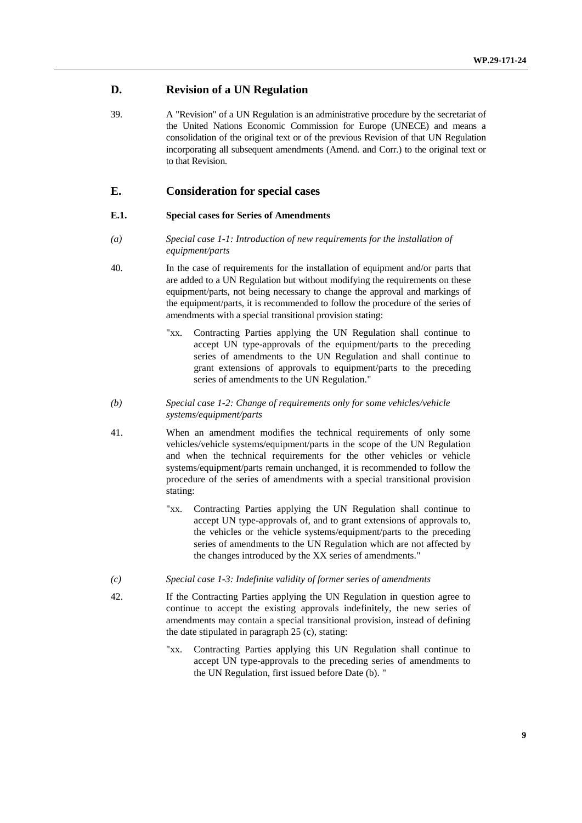### **D. Revision of a UN Regulation**

39. A "Revision" of a UN Regulation is an administrative procedure by the secretariat of the United Nations Economic Commission for Europe (UNECE) and means a consolidation of the original text or of the previous Revision of that UN Regulation incorporating all subsequent amendments (Amend. and Corr.) to the original text or to that Revision.

### **E. Consideration for special cases**

#### **E.1. Special cases for Series of Amendments**

- *(a) Special case 1-1: Introduction of new requirements for the installation of equipment/parts*
- 40. In the case of requirements for the installation of equipment and/or parts that are added to a UN Regulation but without modifying the requirements on these equipment/parts, not being necessary to change the approval and markings of the equipment/parts, it is recommended to follow the procedure of the series of amendments with a special transitional provision stating:
	- "xx. Contracting Parties applying the UN Regulation shall continue to accept UN type-approvals of the equipment/parts to the preceding series of amendments to the UN Regulation and shall continue to grant extensions of approvals to equipment/parts to the preceding series of amendments to the UN Regulation."
- *(b) Special case 1-2: Change of requirements only for some vehicles/vehicle systems/equipment/parts*
- 41. When an amendment modifies the technical requirements of only some vehicles/vehicle systems/equipment/parts in the scope of the UN Regulation and when the technical requirements for the other vehicles or vehicle systems/equipment/parts remain unchanged, it is recommended to follow the procedure of the series of amendments with a special transitional provision stating:
	- "xx. Contracting Parties applying the UN Regulation shall continue to accept UN type-approvals of, and to grant extensions of approvals to, the vehicles or the vehicle systems/equipment/parts to the preceding series of amendments to the UN Regulation which are not affected by the changes introduced by the XX series of amendments."
- *(c) Special case 1-3: Indefinite validity of former series of amendments*
- 42. If the Contracting Parties applying the UN Regulation in question agree to continue to accept the existing approvals indefinitely, the new series of amendments may contain a special transitional provision, instead of defining the date stipulated in paragraph 25 (c), stating:
	- "xx. Contracting Parties applying this UN Regulation shall continue to accept UN type-approvals to the preceding series of amendments to the UN Regulation, first issued before Date (b). "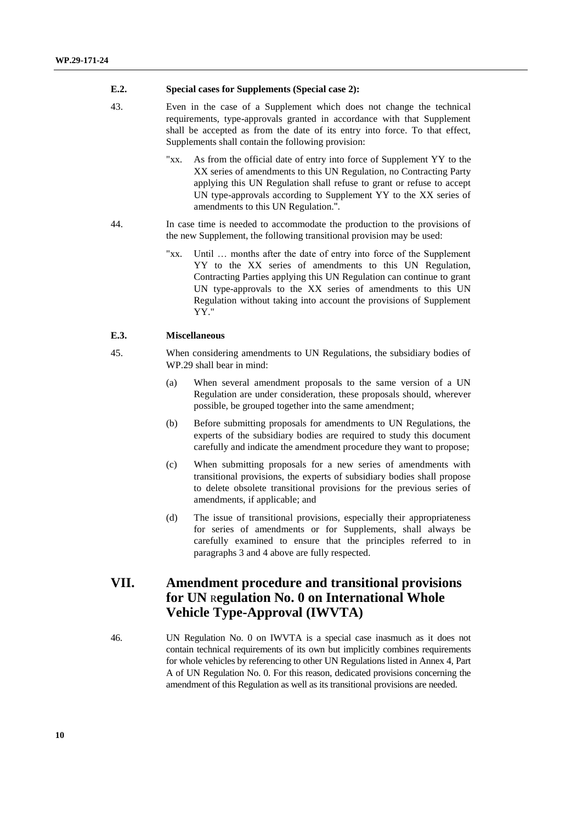#### **E.2. Special cases for Supplements (Special case 2):**

- 43. Even in the case of a Supplement which does not change the technical requirements, type-approvals granted in accordance with that Supplement shall be accepted as from the date of its entry into force. To that effect, Supplements shall contain the following provision:
	- "xx. As from the official date of entry into force of Supplement YY to the XX series of amendments to this UN Regulation, no Contracting Party applying this UN Regulation shall refuse to grant or refuse to accept UN type-approvals according to Supplement YY to the XX series of amendments to this UN Regulation.".
- 44. In case time is needed to accommodate the production to the provisions of the new Supplement, the following transitional provision may be used:
	- "xx. Until … months after the date of entry into force of the Supplement YY to the XX series of amendments to this UN Regulation, Contracting Parties applying this UN Regulation can continue to grant UN type-approvals to the XX series of amendments to this UN Regulation without taking into account the provisions of Supplement YY."

#### **E.3. Miscellaneous**

- 45. When considering amendments to UN Regulations, the subsidiary bodies of WP.29 shall bear in mind:
	- (a) When several amendment proposals to the same version of a UN Regulation are under consideration, these proposals should, wherever possible, be grouped together into the same amendment;
	- (b) Before submitting proposals for amendments to UN Regulations, the experts of the subsidiary bodies are required to study this document carefully and indicate the amendment procedure they want to propose;
	- (c) When submitting proposals for a new series of amendments with transitional provisions, the experts of subsidiary bodies shall propose to delete obsolete transitional provisions for the previous series of amendments, if applicable; and
	- (d) The issue of transitional provisions, especially their appropriateness for series of amendments or for Supplements, shall always be carefully examined to ensure that the principles referred to in paragraphs 3 and 4 above are fully respected.

# **VII. Amendment procedure and transitional provisions for UN** R**egulation No. 0 on International Whole Vehicle Type-Approval (IWVTA)**

46. UN Regulation No. 0 on IWVTA is a special case inasmuch as it does not contain technical requirements of its own but implicitly combines requirements for whole vehicles by referencing to other UN Regulations listed in Annex 4, Part A of UN Regulation No. 0. For this reason, dedicated provisions concerning the amendment of this Regulation as well as its transitional provisions are needed.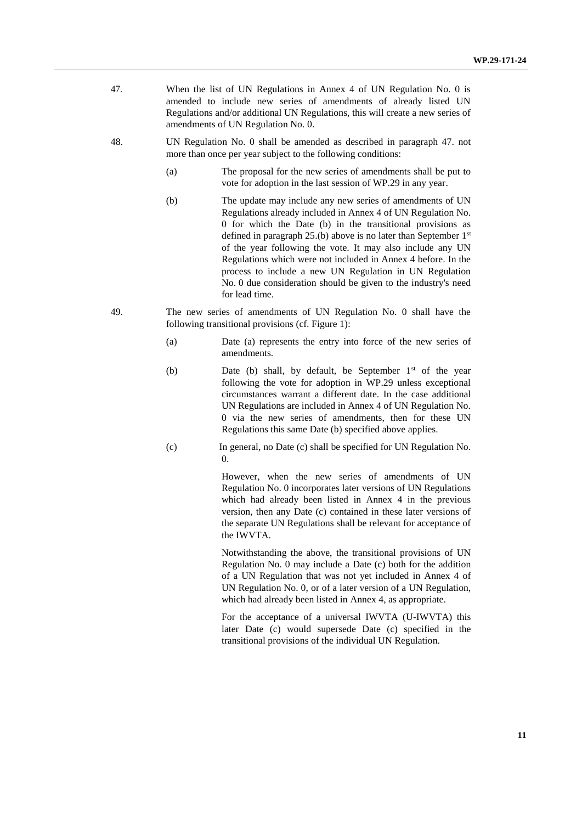- 47. When the list of UN Regulations in Annex 4 of UN Regulation No. 0 is amended to include new series of amendments of already listed UN Regulations and/or additional UN Regulations, this will create a new series of amendments of UN Regulation No. 0.
- 48. UN Regulation No. 0 shall be amended as described in paragraph 47. not more than once per year subject to the following conditions:
	- (a) The proposal for the new series of amendments shall be put to vote for adoption in the last session of WP.29 in any year.
	- (b) The update may include any new series of amendments of UN Regulations already included in Annex 4 of UN Regulation No. 0 for which the Date (b) in the transitional provisions as defined in paragraph  $25.(b)$  above is no later than September  $1<sup>st</sup>$ of the year following the vote. It may also include any UN Regulations which were not included in Annex 4 before. In the process to include a new UN Regulation in UN Regulation No. 0 due consideration should be given to the industry's need for lead time.
- 49. The new series of amendments of UN Regulation No. 0 shall have the following transitional provisions (cf. Figure 1):
	- (a) Date (a) represents the entry into force of the new series of amendments.
	- (b) Date (b) shall, by default, be September  $1<sup>st</sup>$  of the year following the vote for adoption in WP.29 unless exceptional circumstances warrant a different date. In the case additional UN Regulations are included in Annex 4 of UN Regulation No. 0 via the new series of amendments, then for these UN Regulations this same Date (b) specified above applies.
	- (c) In general, no Date (c) shall be specified for UN Regulation No. 0.

However, when the new series of amendments of UN Regulation No. 0 incorporates later versions of UN Regulations which had already been listed in Annex 4 in the previous version, then any Date (c) contained in these later versions of the separate UN Regulations shall be relevant for acceptance of the IWVTA.

Notwithstanding the above, the transitional provisions of UN Regulation No. 0 may include a Date (c) both for the addition of a UN Regulation that was not yet included in Annex 4 of UN Regulation No. 0, or of a later version of a UN Regulation, which had already been listed in Annex 4, as appropriate.

For the acceptance of a universal IWVTA (U-IWVTA) this later Date (c) would supersede Date (c) specified in the transitional provisions of the individual UN Regulation.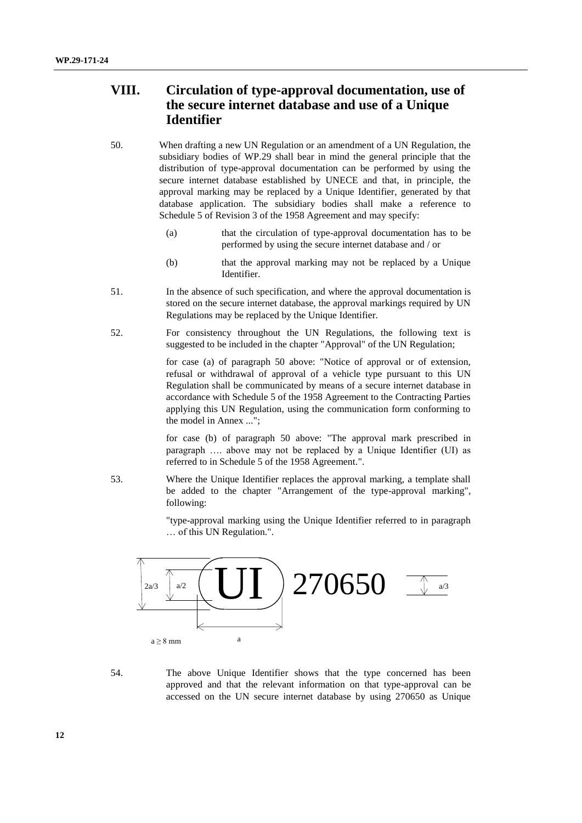# **VIII. Circulation of type-approval documentation, use of the secure internet database and use of a Unique Identifier**

- 50. When drafting a new UN Regulation or an amendment of a UN Regulation, the subsidiary bodies of WP.29 shall bear in mind the general principle that the distribution of type-approval documentation can be performed by using the secure internet database established by UNECE and that, in principle, the approval marking may be replaced by a Unique Identifier, generated by that database application. The subsidiary bodies shall make a reference to Schedule 5 of Revision 3 of the 1958 Agreement and may specify:
	- (a) that the circulation of type-approval documentation has to be performed by using the secure internet database and / or
	- (b) that the approval marking may not be replaced by a Unique Identifier.
- 51. In the absence of such specification, and where the approval documentation is stored on the secure internet database, the approval markings required by UN Regulations may be replaced by the Unique Identifier.
- 52. For consistency throughout the UN Regulations, the following text is suggested to be included in the chapter "Approval" of the UN Regulation;

for case (a) of paragraph 50 above: "Notice of approval or of extension, refusal or withdrawal of approval of a vehicle type pursuant to this UN Regulation shall be communicated by means of a secure internet database in accordance with Schedule 5 of the 1958 Agreement to the Contracting Parties applying this UN Regulation, using the communication form conforming to the model in Annex ...";

for case (b) of paragraph 50 above: "The approval mark prescribed in paragraph …. above may not be replaced by a Unique Identifier (UI) as referred to in Schedule 5 of the 1958 Agreement.".

53. Where the Unique Identifier replaces the approval marking, a template shall be added to the chapter "Arrangement of the type-approval marking", following:

> "type-approval marking using the Unique Identifier referred to in paragraph … of this UN Regulation.".



54. The above Unique Identifier shows that the type concerned has been approved and that the relevant information on that type-approval can be accessed on the UN secure internet database by using 270650 as Unique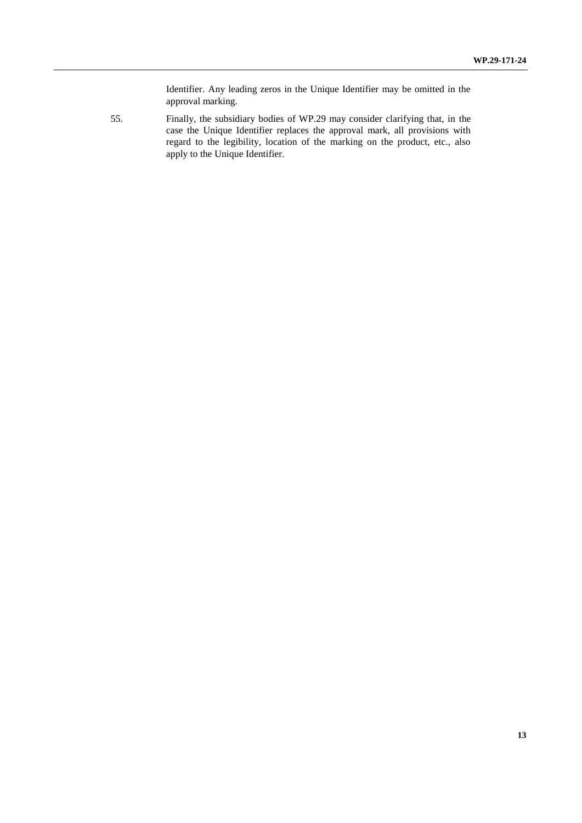Identifier. Any leading zeros in the Unique Identifier may be omitted in the approval marking.

55. Finally, the subsidiary bodies of WP.29 may consider clarifying that, in the case the Unique Identifier replaces the approval mark, all provisions with regard to the legibility, location of the marking on the product, etc., also apply to the Unique Identifier.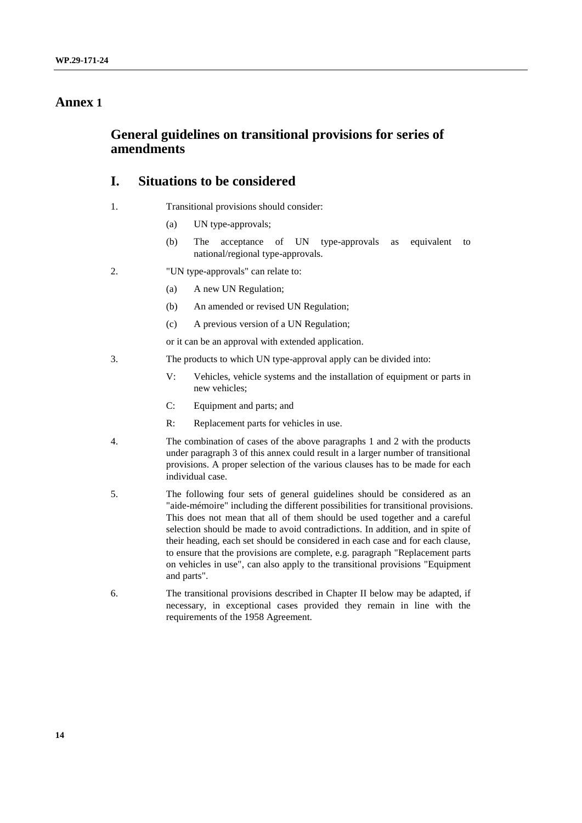### **Annex 1**

### **General guidelines on transitional provisions for series of amendments**

# **I. Situations to be considered**

- 1. Transitional provisions should consider:
	- (a) UN type-approvals;
	- (b) The acceptance of UN type-approvals as equivalent to national/regional type-approvals.
- 2. "UN type-approvals" can relate to:
	- (a) A new UN Regulation;
	- (b) An amended or revised UN Regulation;
	- (c) A previous version of a UN Regulation;

or it can be an approval with extended application.

- 3. The products to which UN type-approval apply can be divided into:
	- V: Vehicles, vehicle systems and the installation of equipment or parts in new vehicles;
	- C: Equipment and parts; and
	- R: Replacement parts for vehicles in use.
- 4. The combination of cases of the above paragraphs 1 and 2 with the products under paragraph 3 of this annex could result in a larger number of transitional provisions. A proper selection of the various clauses has to be made for each individual case.
- 5. The following four sets of general guidelines should be considered as an "aide-mémoire" including the different possibilities for transitional provisions. This does not mean that all of them should be used together and a careful selection should be made to avoid contradictions. In addition, and in spite of their heading, each set should be considered in each case and for each clause, to ensure that the provisions are complete, e.g. paragraph "Replacement parts on vehicles in use", can also apply to the transitional provisions "Equipment and parts".
- 6. The transitional provisions described in Chapter II below may be adapted, if necessary, in exceptional cases provided they remain in line with the requirements of the 1958 Agreement.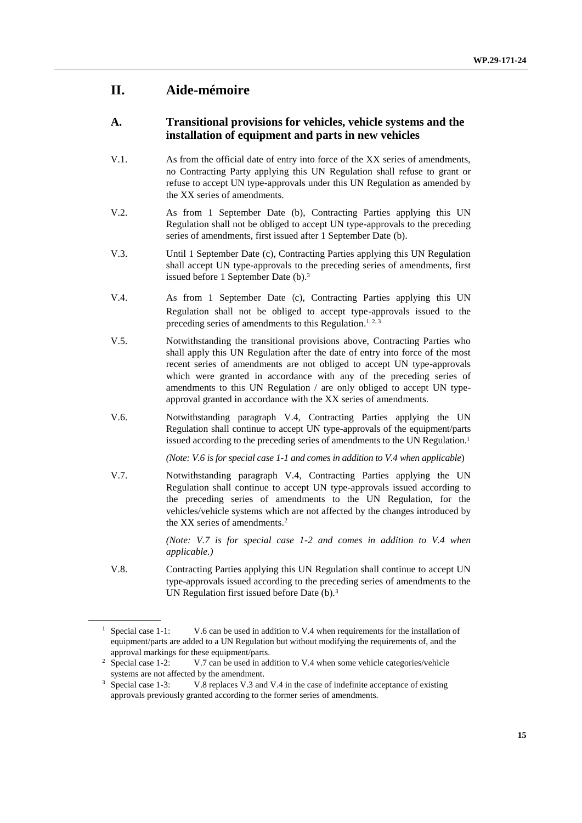# **II. Aide-mémoire**

### **A. Transitional provisions for vehicles, vehicle systems and the installation of equipment and parts in new vehicles**

- V.1. As from the official date of entry into force of the XX series of amendments, no Contracting Party applying this UN Regulation shall refuse to grant or refuse to accept UN type-approvals under this UN Regulation as amended by the XX series of amendments.
- V.2. As from 1 September Date (b), Contracting Parties applying this UN Regulation shall not be obliged to accept UN type-approvals to the preceding series of amendments, first issued after 1 September Date (b).
- V.3. Until 1 September Date (c), Contracting Parties applying this UN Regulation shall accept UN type-approvals to the preceding series of amendments, first issued before 1 September Date (b). 3
- V.4. As from 1 September Date (c), Contracting Parties applying this UN Regulation shall not be obliged to accept type-approvals issued to the preceding series of amendments to this Regulation.<sup>1, 2, 3</sup>
- V.5. Notwithstanding the transitional provisions above, Contracting Parties who shall apply this UN Regulation after the date of entry into force of the most recent series of amendments are not obliged to accept UN type-approvals which were granted in accordance with any of the preceding series of amendments to this UN Regulation / are only obliged to accept UN typeapproval granted in accordance with the XX series of amendments.
- V.6. Notwithstanding paragraph V.4, Contracting Parties applying the UN Regulation shall continue to accept UN type-approvals of the equipment/parts issued according to the preceding series of amendments to the UN Regulation. 1

*(Note: V.6 is for special case 1-1 and comes in addition to V.4 when applicable*)

V.7. Notwithstanding paragraph V.4, Contracting Parties applying the UN Regulation shall continue to accept UN type-approvals issued according to the preceding series of amendments to the UN Regulation, for the vehicles/vehicle systems which are not affected by the changes introduced by the XX series of amendments. 2

> *(Note: V.7 is for special case 1-2 and comes in addition to V.4 when applicable.)*

V.8. Contracting Parties applying this UN Regulation shall continue to accept UN type-approvals issued according to the preceding series of amendments to the UN Regulation first issued before Date (b).<sup>3</sup>

<sup>&</sup>lt;sup>1</sup> Special case 1-1: V.6 can be used in addition to V.4 when requirements for the installation of equipment/parts are added to a UN Regulation but without modifying the requirements of, and the

approval markings for these equipment/parts.<br><sup>2</sup> Special case 1-2: V.7 can be used in add V.7 can be used in addition to V.4 when some vehicle categories/vehicle systems are not affected by the amendment.

<sup>&</sup>lt;sup>3</sup> Special case 1-3: V.8 replaces V.3 and V.4 in the case of indefinite acceptance of existing approvals previously granted according to the former series of amendments.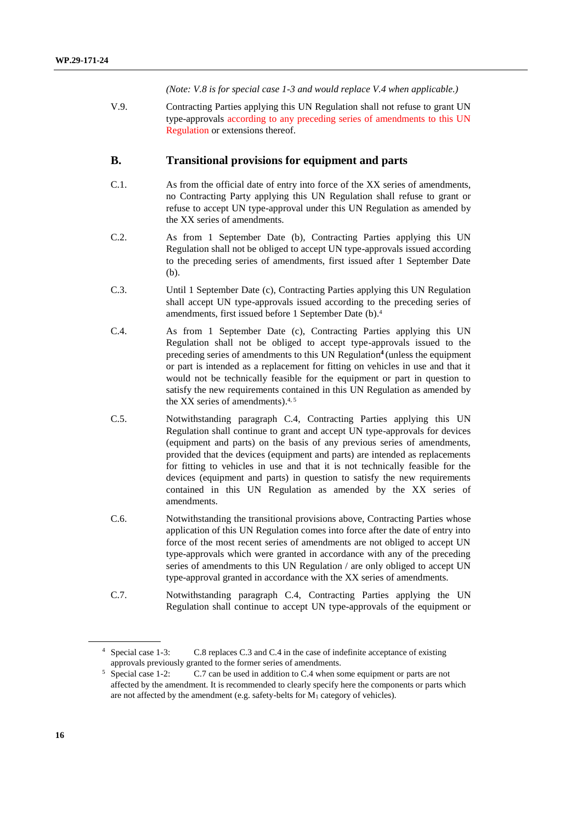*(Note: V.8 is for special case 1-3 and would replace V.4 when applicable.)*

V.9. Contracting Parties applying this UN Regulation shall not refuse to grant UN type-approvals according to any preceding series of amendments to this UN Regulation or extensions thereof.

### **B. Transitional provisions for equipment and parts**

- C.1. As from the official date of entry into force of the XX series of amendments, no Contracting Party applying this UN Regulation shall refuse to grant or refuse to accept UN type-approval under this UN Regulation as amended by the XX series of amendments.
- C.2. As from 1 September Date (b), Contracting Parties applying this UN Regulation shall not be obliged to accept UN type-approvals issued according to the preceding series of amendments, first issued after 1 September Date (b).
- C.3. Until 1 September Date (c), Contracting Parties applying this UN Regulation shall accept UN type-approvals issued according to the preceding series of amendments, first issued before 1 September Date (b). 4
- C.4. As from 1 September Date (c), Contracting Parties applying this UN Regulation shall not be obliged to accept type-approvals issued to the preceding series of amendments to this UN Regulation**<sup>4</sup>**(unless the equipment or part is intended as a replacement for fitting on vehicles in use and that it would not be technically feasible for the equipment or part in question to satisfy the new requirements contained in this UN Regulation as amended by the XX series of amendments). 4, 5
- C.5. Notwithstanding paragraph C.4, Contracting Parties applying this UN Regulation shall continue to grant and accept UN type-approvals for devices (equipment and parts) on the basis of any previous series of amendments, provided that the devices (equipment and parts) are intended as replacements for fitting to vehicles in use and that it is not technically feasible for the devices (equipment and parts) in question to satisfy the new requirements contained in this UN Regulation as amended by the XX series of amendments.
- C.6. Notwithstanding the transitional provisions above, Contracting Parties whose application of this UN Regulation comes into force after the date of entry into force of the most recent series of amendments are not obliged to accept UN type-approvals which were granted in accordance with any of the preceding series of amendments to this UN Regulation / are only obliged to accept UN type-approval granted in accordance with the XX series of amendments.
- C.7. Notwithstanding paragraph C.4, Contracting Parties applying the UN Regulation shall continue to accept UN type-approvals of the equipment or

<sup>4</sup> Special case 1-3: C.8 replaces C.3 and C.4 in the case of indefinite acceptance of existing approvals previously granted to the former series of amendments.

<sup>5</sup> Special case 1-2: C.7 can be used in addition to C.4 when some equipment or parts are not affected by the amendment. It is recommended to clearly specify here the components or parts which are not affected by the amendment (e.g. safety-belts for M<sup>1</sup> category of vehicles).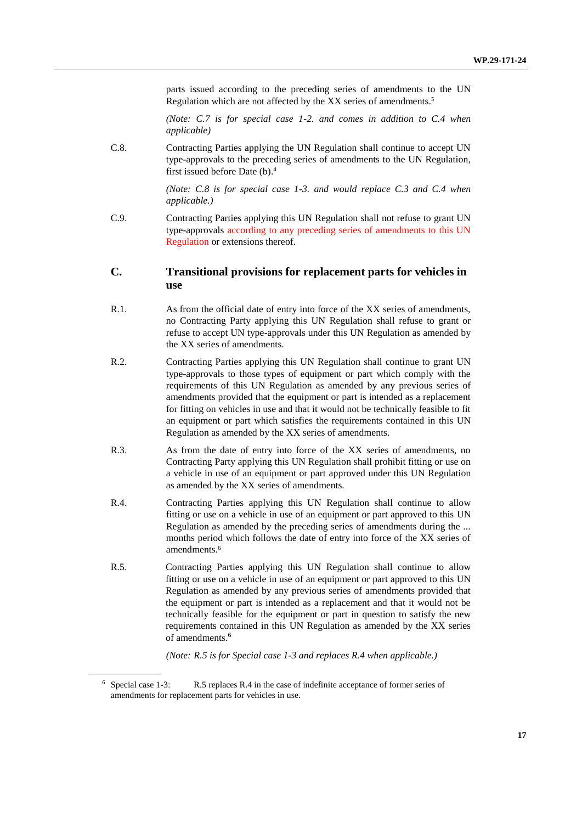parts issued according to the preceding series of amendments to the UN Regulation which are not affected by the XX series of amendments.<sup>5</sup>

*(Note: C.7 is for special case 1-2. and comes in addition to C.4 when applicable)*

C.8. Contracting Parties applying the UN Regulation shall continue to accept UN type-approvals to the preceding series of amendments to the UN Regulation, first issued before Date (b). 4

> *(Note: C.8 is for special case 1-3. and would replace C.3 and C.4 when applicable.)*

C.9. Contracting Parties applying this UN Regulation shall not refuse to grant UN type-approvals according to any preceding series of amendments to this UN Regulation or extensions thereof.

### **C. Transitional provisions for replacement parts for vehicles in use**

- R.1. As from the official date of entry into force of the XX series of amendments, no Contracting Party applying this UN Regulation shall refuse to grant or refuse to accept UN type-approvals under this UN Regulation as amended by the XX series of amendments.
- R.2. Contracting Parties applying this UN Regulation shall continue to grant UN type-approvals to those types of equipment or part which comply with the requirements of this UN Regulation as amended by any previous series of amendments provided that the equipment or part is intended as a replacement for fitting on vehicles in use and that it would not be technically feasible to fit an equipment or part which satisfies the requirements contained in this UN Regulation as amended by the XX series of amendments.
- R.3. As from the date of entry into force of the XX series of amendments, no Contracting Party applying this UN Regulation shall prohibit fitting or use on a vehicle in use of an equipment or part approved under this UN Regulation as amended by the XX series of amendments.
- R.4. Contracting Parties applying this UN Regulation shall continue to allow fitting or use on a vehicle in use of an equipment or part approved to this UN Regulation as amended by the preceding series of amendments during the ... months period which follows the date of entry into force of the XX series of amendments. 6
- R.5. Contracting Parties applying this UN Regulation shall continue to allow fitting or use on a vehicle in use of an equipment or part approved to this UN Regulation as amended by any previous series of amendments provided that the equipment or part is intended as a replacement and that it would not be technically feasible for the equipment or part in question to satisfy the new requirements contained in this UN Regulation as amended by the XX series of amendments. **6**

*(Note: R.5 is for Special case 1-3 and replaces R.4 when applicable.)*

<sup>6</sup> Special case 1-3: R.5 replaces R.4 in the case of indefinite acceptance of former series of amendments for replacement parts for vehicles in use.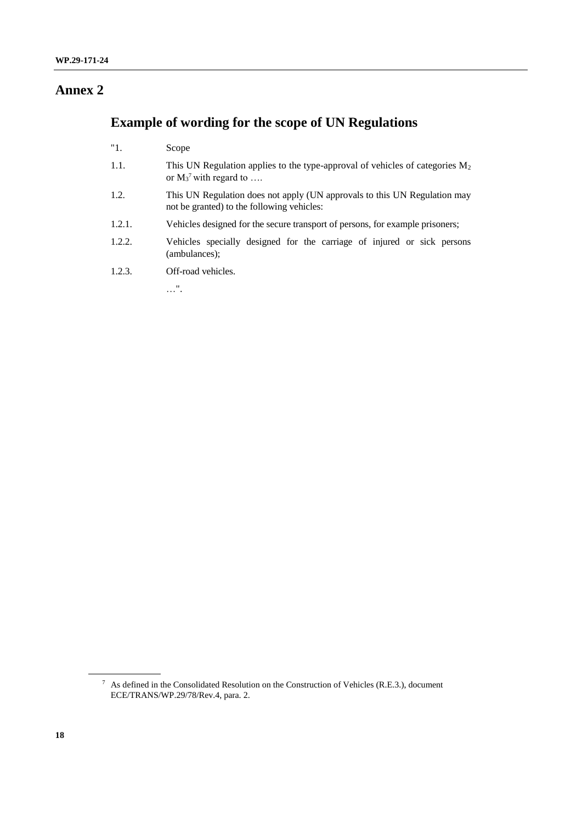# **Annex 2**

# **Example of wording for the scope of UN Regulations**

| "1.    | Scope                                                                                                                   |
|--------|-------------------------------------------------------------------------------------------------------------------------|
| 1.1.   | This UN Regulation applies to the type-approval of vehicles of categories $M_2$<br>or $M_3$ <sup>7</sup> with regard to |
| 1.2.   | This UN Regulation does not apply (UN approvals to this UN Regulation may<br>not be granted) to the following vehicles: |
| 1.2.1. | Vehicles designed for the secure transport of persons, for example prisoners;                                           |
| 1.2.2. | Vehicles specially designed for the carriage of injured or sick persons<br>(ambulances):                                |
| 1.2.3. | Off-road vehicles.                                                                                                      |
|        | .                                                                                                                       |

<sup>7</sup> As defined in the Consolidated Resolution on the Construction of Vehicles (R.E.3.), document ECE/TRANS/WP.29/78/Rev.4, para. 2.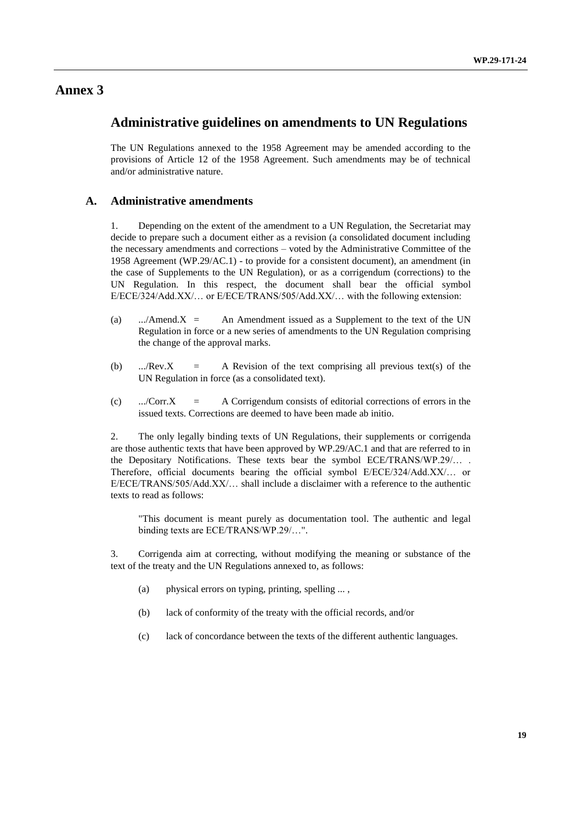### **Annex 3**

### **Administrative guidelines on amendments to UN Regulations**

The UN Regulations annexed to the 1958 Agreement may be amended according to the provisions of Article 12 of the 1958 Agreement. Such amendments may be of technical and/or administrative nature.

### **A. Administrative amendments**

1. Depending on the extent of the amendment to a UN Regulation, the Secretariat may decide to prepare such a document either as a revision (a consolidated document including the necessary amendments and corrections – voted by the Administrative Committee of the 1958 Agreement (WP.29/AC.1) - to provide for a consistent document), an amendment (in the case of Supplements to the UN Regulation), or as a corrigendum (corrections) to the UN Regulation. In this respect, the document shall bear the official symbol E/ECE/324/Add.XX/… or E/ECE/TRANS/505/Add.XX/… with the following extension:

- (a) .../Amend. $X =$  An Amendment issued as a Supplement to the text of the UN Regulation in force or a new series of amendments to the UN Regulation comprising the change of the approval marks.
- (b) .../Rev.X = A Revision of the text comprising all previous text(s) of the UN Regulation in force (as a consolidated text).
- (c) .../Corr.X = A Corrigendum consists of editorial corrections of errors in the issued texts. Corrections are deemed to have been made ab initio.

2. The only legally binding texts of UN Regulations, their supplements or corrigenda are those authentic texts that have been approved by WP.29/AC.1 and that are referred to in the Depositary Notifications. These texts bear the symbol ECE/TRANS/WP.29/… . Therefore, official documents bearing the official symbol E/ECE/324/Add.XX/… or  $E/ECE/TRANS/505/Add.XX/...$  shall include a disclaimer with a reference to the authentic texts to read as follows:

"This document is meant purely as documentation tool. The authentic and legal binding texts are ECE/TRANS/WP.29/…".

3. Corrigenda aim at correcting, without modifying the meaning or substance of the text of the treaty and the UN Regulations annexed to, as follows:

- (a) physical errors on typing, printing, spelling ... ,
- (b) lack of conformity of the treaty with the official records, and/or
- (c) lack of concordance between the texts of the different authentic languages.